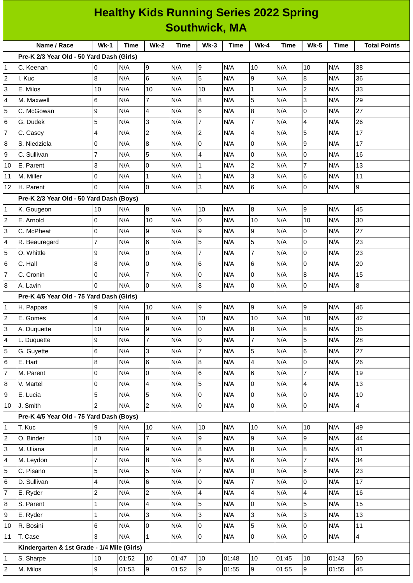|                           | <b>Healthy Kids Running Series 2022 Spring</b> |                |       |                 |             |                |       |                  |             |                |             |                     |
|---------------------------|------------------------------------------------|----------------|-------|-----------------|-------------|----------------|-------|------------------|-------------|----------------|-------------|---------------------|
|                           | <b>Southwick, MA</b>                           |                |       |                 |             |                |       |                  |             |                |             |                     |
|                           | Name / Race                                    | $Wk-1$         | Time  | <b>Wk-2</b>     | <b>Time</b> | $Wk-3$         | Time  | <b>Wk-4</b>      | <b>Time</b> | <b>Wk-5</b>    | <b>Time</b> | <b>Total Points</b> |
|                           | Pre-K 2/3 Year Old - 50 Yard Dash (Girls)      |                |       |                 |             |                |       |                  |             |                |             |                     |
| $\mathbf{1}$              | C. Keenan                                      | 0              | N/A   | 9               | N/A         | 9              | N/A   | 10               | N/A         | 10             | N/A         | 38                  |
| $\overline{c}$            | I. Kuc                                         | 8              | N/A   | $6\phantom{.}6$ | N/A         | 5              | N/A   | 9                | N/A         | 8              | N/A         | 36                  |
| 3                         | E. Milos                                       | 10             | N/A   | 10              | N/A         | 10             | N/A   | $\mathbf 1$      | N/A         | $\overline{c}$ | N/A         | 33                  |
| 4                         | M. Maxwell                                     | 6              | N/A   | $\overline{7}$  | N/A         | 8              | N/A   | 5                | N/A         | 3              | N/A         | 29                  |
| 5                         | C. McGowan                                     | 9              | N/A   | $\overline{4}$  | N/A         | 6              | N/A   | $\boldsymbol{8}$ | N/A         | 0              | N/A         | 27                  |
| 6                         | G. Dudek                                       | 5              | N/A   | 3               | N/A         | $\overline{7}$ | N/A   | 7                | N/A         | $\overline{4}$ | N/A         | 26                  |
| $\overline{\mathfrak{c}}$ | C. Casey                                       | 4              | N/A   | $\overline{2}$  | N/A         | $\overline{c}$ | N/A   | 4                | N/A         | 5              | N/A         | 17                  |
| 8                         | S. Niedziela                                   | $\mathsf 0$    | N/A   | 8               | N/A         | 0              | N/A   | 0                | N/A         | 9              | N/A         | 17                  |
| 9                         | C. Sullivan                                    | 7              | N/A   | 5               | N/A         | 4              | N/A   | 0                | N/A         | 0              | N/A         | 16                  |
| 10                        | E. Parent                                      | 3              | N/A   | l0              | N/A         | $\mathbf 1$    | N/A   | $\overline{c}$   | N/A         | 7              | N/A         | 13                  |
| 11                        | M. Miller                                      | 0              | N/A   | $\overline{1}$  | N/A         | $\mathbf 1$    | N/A   | 3                | N/A         | 6              | N/A         | 11                  |
| 12                        | H. Parent                                      | $\overline{0}$ | N/A   | Iо              | N/A         | 3              | N/A   | 6                | N/A         | 0              | N/A         | 9                   |
|                           | Pre-K 2/3 Year Old - 50 Yard Dash (Boys)       |                |       |                 |             |                |       |                  |             |                |             |                     |
| $\mathbf{1}$              | K. Gougeon                                     | 10             | N/A   | 8               | N/A         | 10             | N/A   | $\overline{8}$   | N/A         | 9              | N/A         | 45                  |
| $\overline{c}$            | E. Arnold                                      | $\mathsf 0$    | N/A   | 10              | N/A         | 0              | N/A   | 10               | N/A         | 10             | N/A         | 30                  |
| 3                         | C. McPheat                                     | 0              | N/A   | 9               | N/A         | 9              | N/A   | 9                | N/A         | 0              | N/A         | 27                  |
| 4                         | R. Beauregard                                  | 7              | N/A   | 6               | N/A         | 5              | N/A   | 5                | N/A         | 0              | N/A         | 23                  |
| 5                         | O. Whittle                                     | 9              | N/A   | l0              | N/A         | $\overline{7}$ | N/A   | 7                | N/A         | 0              | N/A         | 23                  |
| 6                         | C. Hall                                        | $\bf{8}$       | N/A   | l0              | N/A         | 6              | N/A   | $\,6$            | N/A         | 0              | N/A         | 20                  |
| $\overline{7}$            | C. Cronin                                      | 0              | N/A   | $\overline{7}$  | N/A         | 0              | N/A   | 0                | N/A         | 8              | N/A         | 15                  |
| 8                         | A. Lavin                                       | 0              | N/A   | l0              | N/A         | 8              | N/A   | 0                | N/A         | 0              | N/A         | 8                   |
|                           | Pre-K 4/5 Year Old - 75 Yard Dash (Girls)      |                |       |                 |             |                |       |                  |             |                |             |                     |
| $\mathbf{1}$              | H. Pappas                                      | 9              | N/A   | 10              | N/A         | 9              | N/A   | 9                | N/A         | 9              | N/A         | 46                  |
| $\overline{\mathbf{c}}$   | E. Gomes                                       | 4              | N/A   | 8               | N/A         | 10             | N/A   | 10               | N/A         | 10             | N/A         | 42                  |
| 3                         | A. Duquette                                    | 10             | N/A   | l9              | N/A         | 0              | N/A   | 8                | N/A         | 8              | N/A         | 35                  |
| 4                         | L. Duquette                                    | 9              | N/A   | $\overline{7}$  | N/A         | $\overline{0}$ | N/A   | $\overline{7}$   | N/A         | 5              | N/A         | 28                  |
| 5                         | G. Guyette                                     | 6              | N/A   | 3               | N/A         | $\overline{7}$ | N/A   | 5                | N/A         | 6              | N/A         | 27                  |
| 6                         | E. Hart                                        | $\bf 8$        | N/A   | 6               | N/A         | 8              | N/A   | 4                | N/A         | 0              | N/A         | 26                  |
| $\overline{7}$            | M. Parent                                      | 0              | N/A   | Iо              | N/A         | 6              | N/A   | $\,6$            | N/A         | $\overline{7}$ | N/A         | 19                  |
| 8                         | V. Martel                                      | $\mathsf 0$    | N/A   | $\overline{4}$  | N/A         | 5              | N/A   | $\mathsf 0$      | N/A         | 4              | N/A         | 13                  |
| 9                         | E. Lucia                                       | 5              | N/A   | 5               | N/A         | 0              | N/A   | $\overline{0}$   | N/A         | 0              | N/A         | 10                  |
| 10                        | J. Smith                                       | $\overline{2}$ | N/A   | $\overline{2}$  | N/A         | $\overline{0}$ | N/A   | $\overline{0}$   | N/A         | 0              | N/A         | $\overline{4}$      |
|                           | Pre-K 4/5 Year Old - 75 Yard Dash (Boys)       |                |       |                 |             |                |       |                  |             |                |             |                     |
| 1                         | T. Kuc                                         | 9              | N/A   | 10              | N/A         | $10\,$         | N/A   | $10\,$           | N/A         | 10             | N/A         | 49                  |
| $\overline{c}$            | O. Binder                                      | 10             | N/A   | $\overline{7}$  | N/A         | 9              | N/A   | $\overline{9}$   | N/A         | 9              | N/A         | 44                  |
| 3                         | M. Uliana                                      | 8              | N/A   | 9               | N/A         | 8              | N/A   | $8\,$            | N/A         | 8              | N/A         | 41                  |
| 4                         | M. Leydon                                      | $\overline{7}$ | N/A   | $\overline{8}$  | N/A         | 6              | N/A   | 6                | N/A         | $\overline{7}$ | N/A         | 34                  |
| 5                         | C. Pisano                                      | 5              | N/A   | 5               | N/A         | $\overline{7}$ | N/A   | $\mathsf 0$      | N/A         | 6              | N/A         | 23                  |
| 6                         | D. Sullivan                                    | 4              | N/A   | 6               | N/A         | 0              | N/A   | $\overline{7}$   | N/A         | 0              | N/A         | 17                  |
| $\overline{7}$            | E. Ryder                                       | $\overline{c}$ | N/A   | $\overline{c}$  | N/A         | 4              | N/A   | 4                | N/A         | 4              | N/A         | 16                  |
| 8                         | S. Parent                                      | $\mathbf{1}$   | N/A   | $\overline{4}$  | N/A         | 5              | N/A   | $\mathsf 0$      | N/A         | 5              | N/A         | 15                  |
| 9                         | E. Ryder                                       | $\mathbf 1$    | N/A   | 3               | N/A         | 3              | N/A   | 3                | N/A         | 3              | N/A         | 13                  |
| 10                        | R. Bosini                                      | $6\phantom{a}$ | N/A   | l0              | N/A         | 0              | N/A   | 5                | N/A         | 0              | N/A         | $11\,$              |
| 11                        | T. Case                                        | 3              | N/A   | $\overline{1}$  | N/A         | 0              | N/A   | O                | N/A         | 0              | N/A         | 4                   |
|                           | Kindergarten & 1st Grade - 1/4 Mile (Girls)    |                |       |                 |             |                |       |                  |             |                |             |                     |
| $\mathbf 1$               | S. Sharpe                                      | 10             | 01:52 | 10              | 01:47       | $10\,$         | 01:48 | 10               | 01:45       | $10\,$         | 01:43       | 50                  |
| $\overline{c}$            | M. Milos                                       | $\overline{9}$ | 01:53 | 9               | 01:52       | $\overline{9}$ | 01:55 | $\overline{9}$   | 01:55       | 9              | 01:55       | 45                  |
|                           |                                                |                |       |                 |             |                |       |                  |             |                |             |                     |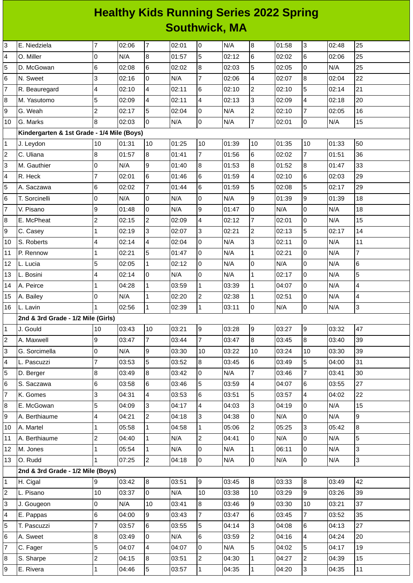## **Healthy Kids Running Series 2022 Spring Southwick, MA**

| 3              | E. Niedziela                               | $\overline{7}$                 | 02:06          | $\overline{7}$ | 02:01          | 0                              | N/A            | $\overline{8}$               | 01:58          | 3                              | 02:48          | 25             |
|----------------|--------------------------------------------|--------------------------------|----------------|----------------|----------------|--------------------------------|----------------|------------------------------|----------------|--------------------------------|----------------|----------------|
| 4              | O. Miller                                  | O                              | N/A            | $\bf{8}$       | 01:57          | 5                              | 02:12          | 6                            | 02:02          | 6                              | 02:06          | 25             |
| 5              | D. McGowan                                 | 6                              | 02:08          | $\,6$          | 02:02          | 8                              | 02:03          | 5                            | 02:05          | $\mathsf 0$                    | N/A            | 25             |
| 6              | N. Sweet                                   | 3                              | 02:16          | $\mathsf 0$    | N/A            | $\overline{7}$                 | 02:06          | 4                            | 02:07          | $\, 8$                         | 02:04          | 22             |
| 7              | R. Beauregard                              | 4                              | 02:10          | 4              | 02:11          | 6                              | 02:10          | $\overline{c}$               | 02:10          | 5                              | 02:14          | 21             |
| 8              | M. Yasutomo                                | 5                              | 02:09          | 4              | 02:11          | 4                              | 02:13          | $\overline{3}$               | 02:09          | 4                              | 02:18          | 20             |
| 9              | G. Weah                                    | $\overline{c}$                 | 02:17          | 5              | 02:04          | 0                              | N/A            | $\overline{c}$               | 02:10          | $\overline{7}$                 | 02:05          | 16             |
| 10             | G. Marks                                   | 8                              | 02:03          | $\overline{0}$ | N/A            | 0                              | N/A            | $\overline{7}$               | 02:01          | $\mathsf 0$                    | N/A            | 15             |
|                | Kindergarten & 1st Grade - 1/4 Mile (Boys) |                                |                |                |                |                                |                |                              |                |                                |                |                |
| 1              | J. Leydon                                  | 10                             | 01:31          | 10             | 01:25          | 10                             | 01:39          | 10                           | 01:35          | 10                             | 01:33          | 50             |
| 2              | C. Uliana                                  | 8                              | 01:57          | $\overline{8}$ | 01:41          | $\overline{7}$                 | 01:56          | 6                            | 02:02          | $\overline{7}$                 | 01:51          | 36             |
| 3              | M. Gauthier                                | $\mathsf 0$                    | N/A            | 9              | 01:40          | 8                              | 01:53          | $\boldsymbol{8}$             | 01:52          | $\, 8$                         | 01:47          | 33             |
| 4              | R. Heck                                    | $\overline{7}$                 | 02:01          | $6\phantom{a}$ | 01:46          | 6                              | 01:59          | 4                            | 02:10          | 6                              | 02:03          | 29             |
| 5              | A. Saczawa                                 | 6                              | 02:02          | $\overline{7}$ | 01:44          | 6                              | 01:59          | 5                            | 02:08          | 5                              | 02:17          | 29             |
| 6              | T. Sorcinelli                              | 0                              | N/A            | $\mathsf 0$    | N/A            | 0                              | N/A            | $\boldsymbol{9}$             | 01:39          | 9                              | 01:39          | 18             |
| 7              | V. Pisano                                  | 9                              | 01:48          | $\overline{0}$ | N/A            | 9                              | 01:47          | $\mathsf 0$                  | N/A            | 0                              | N/A            | 18             |
| 8              | E. McPheat                                 | $\overline{c}$                 | 02:15          | $\overline{c}$ | 02:09          | 4                              | 02:12          | $\overline{7}$               | 02:01          | $\mathsf 0$                    | N/A            | 15             |
| 9              | C. Casey                                   | 1                              | 02:19          | 3              | 02:07          | 3                              | 02:21          | $\overline{c}$               | 02:13          | 5                              | 02:17          | 14             |
| 10             | S. Roberts                                 | $\overline{\mathcal{L}}$       | 02:14          | 4              | 02:04          | 0                              | N/A            | 3                            | 02:11          | $\mathsf 0$                    | N/A            | 11             |
| 11             | P. Rennow                                  | $\mathbf 1$                    | 02:21          | 5              | 01:47          | 0                              | N/A            | $\mathbf 1$                  | 02:21          | $\mathsf 0$                    | N/A            | $\overline{7}$ |
| 12             | L. Lucia                                   | 5                              | 02:05          | $\mathbf{1}$   | 02:12          | 0                              | N/A            | 0                            | N/A            | 0                              | N/A            | 6              |
| 13             | L. Bosini                                  | 4                              | 02:14          | O              | N/A            | 0                              | N/A            | $\mathbf{1}$                 | 02:17          | $\overline{0}$                 | N/A            | 5              |
| 14             | A. Peirce                                  | $\mathbf{1}$                   | 04:28          | $\mathbf 1$    | 03:59          | $\mathbf{1}$                   | 03:39          | $\mathbf{1}$                 | 04:07          | $\pmb{0}$                      | N/A            | 4              |
| 15             | A. Bailey                                  | O                              | N/A            | $\overline{1}$ | 02:20          | $\overline{c}$                 | 02:38          | $\mathbf 1$                  | 02:51          | $\mathsf 0$                    | N/A            | 4              |
| 16             | L. Lavin                                   | $\mathbf{1}$                   | 02:56          | $\mathbf{1}$   | 02:39          | $\mathbf{1}$                   | 03:11          | $\overline{0}$               | N/A            | $\mathsf 0$                    | N/A            | 3              |
|                | 2nd & 3rd Grade - 1/2 Mile (Girls)         |                                |                |                |                |                                |                |                              |                |                                |                |                |
| 1              | J. Gould                                   | 10                             | 03:43          | 10             | 03:21          | 9                              | 03:28          | $\boldsymbol{9}$             | 03:27          | 9                              | 03:32          | 47             |
|                |                                            |                                |                |                |                |                                |                |                              |                | $\bf{8}$                       |                | 39             |
| $\overline{c}$ | A. Maxwell                                 | 9                              | 03:47          | $\overline{7}$ | 03:44          | $\overline{7}$                 | 03:47          | $\bf{8}$                     | 03:45          |                                | 03:40          |                |
| 3              | G. Sorcimella                              | l0                             | N/A            | 9              | 03:30          | 10                             | 03:22          | 10                           | 03:24          | 10                             | 03:30          | 39             |
| 4              | L. Pascuzzi                                | $\overline{7}$                 | 03:53          | 5              | 03:52          | 8                              | 03:45          | 6                            | 03:49          | 5                              | 04:00          | 31             |
| 5              | D. Berger                                  | 8                              | 03:49          | 8              | 03:42          | 0                              | N/A            | $\overline{7}$               | 03:46          | 7                              | 03:41          | 30             |
| 6              | S. Saczawa                                 | 6                              | 03:58          | $6\phantom{a}$ | 03:46          | 5                              | 03:59          | 4                            | 04:07          | 6                              | 03:55          | 27             |
| 7              | K. Gomes                                   | 3                              | 04:31          | $\overline{4}$ | 03:53          | 6                              | 03:51          | 5                            | 03:57          | 4                              | 04:02          | 22             |
| 8              | E. McGowan                                 | 5                              | 04:09          | 3              | 04:17          | 4                              | 04:03          | 3                            | 04:19          | 0                              | N/A            | 15             |
| 9              | A. Berthiaume                              | $\overline{\mathcal{L}}$       | 04:21          | $\overline{c}$ | 04:18          | 3                              | 04:38          | $\overline{0}$               | N/A            | $\mathsf 0$                    | N/A            | 9              |
| 10             | A. Martel                                  | $\mathbf 1$                    | 05:58          | $\mathbf{1}$   | 04:58          | $\mathbf{1}$                   | 05:06          | $\overline{2}$               | 05:25          | 3                              | 05:42          | 8              |
| 11             | A. Berthiaume                              | $\overline{c}$                 | 04:40          | $\mathbf{1}$   | N/A            | $\overline{c}$                 | 04:41          | 0                            | N/A            | 0                              | N/A            | 5              |
| 12             | M. Jones                                   | $\mathbf{1}$                   | 05:54          | $\mathbf{1}$   | N/A            | 0                              | N/A            | $\mathbf 1$                  | 06:11          | $\mathsf 0$                    | N/A            | 3              |
| 13             | O. Rudd                                    | $\mathbf{1}$                   | 07:25          | $\overline{2}$ | 04:18          | 0                              | N/A            | 0                            | N/A            | $\mathsf 0$                    | N/A            | 3              |
|                | 2nd & 3rd Grade - 1/2 Mile (Boys)          |                                |                |                |                |                                |                |                              |                |                                |                |                |
| 1              |                                            | 9                              | 03:42          |                | 03:51          |                                | 03:45          | $\bf{8}$                     | 03:33          |                                | 03:49          | 42             |
| 2              | H. Cigal<br>L. Pisano                      | 10                             | 03:37          | 8<br>O         | N/A            | 9<br>10                        | 03:38          | 10                           | 03:29          | $\bf{8}$<br>9                  | 03:26          | 39             |
| 3              | J. Gougeon                                 | l0                             | N/A            | 10             | 03:41          | $8\,$                          | 03:46          | $\overline{9}$               | 03:30          | 10                             | 03:21          | 37             |
| 4              |                                            |                                | 04:00          | 9              |                | $\overline{7}$                 |                | 6                            | 03:45          | $\overline{7}$                 | 03:52          | 35             |
|                | E. Pappas                                  | $\,6$<br>$\overline{7}$        |                |                | 03:43          |                                | 03:47          |                              |                |                                |                |                |
| 5              | T. Pascuzzi                                |                                | 03:57          | $\,6$          | 03:55          | 5                              | 04:14          | 3                            | 04:08          | 6                              | 04:13          | 27             |
| 6<br>7         | A. Sweet                                   | $\, 8$                         | 03:49          | $\overline{0}$ | N/A            | 6                              | 03:59          | $\overline{c}$               | 04:16          | 4                              | 04:24          | 20             |
|                | C. Fager                                   | 5                              | 04:07          | 4              | 04:07          | 0                              | N/A            | 5                            | 04:02          | 5                              | 04:17          | 19             |
| 8<br>9         | S. Sharpe<br>E. Rivera                     | $\overline{c}$<br>$\mathbf{1}$ | 04:15<br>04:46 | 8<br>5         | 03:51<br>03:57 | $\overline{c}$<br>$\mathbf{1}$ | 04:30<br>04:35 | $\mathbf{1}$<br>$\mathbf{1}$ | 04:27<br>04:20 | $\overline{c}$<br>$\mathsf{S}$ | 04:39<br>04:35 | 15<br>11       |